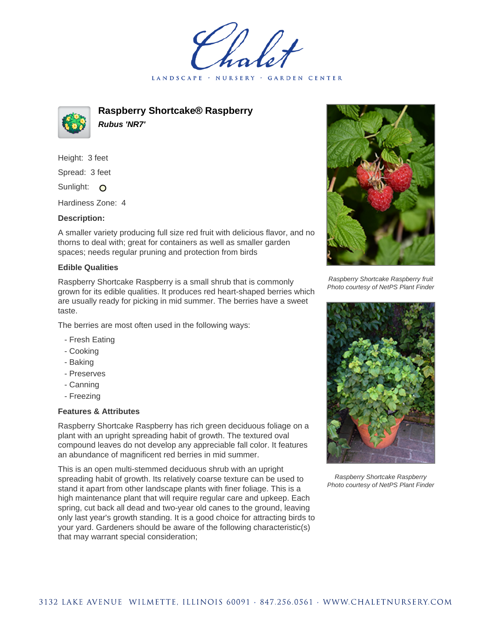LANDSCAPE · **GARDEN CENTER** 



**Raspberry Shortcake® Raspberry Rubus 'NR7'**

Height: 3 feet Spread: 3 feet Sunlight: O

Hardiness Zone: 4

## **Description:**

A smaller variety producing full size red fruit with delicious flavor, and no thorns to deal with; great for containers as well as smaller garden spaces; needs regular pruning and protection from birds

## **Edible Qualities**

Raspberry Shortcake Raspberry is a small shrub that is commonly grown for its edible qualities. It produces red heart-shaped berries which are usually ready for picking in mid summer. The berries have a sweet taste.

The berries are most often used in the following ways:

- Fresh Eating
- Cooking
- Baking
- Preserves
- Canning
- Freezing

## **Features & Attributes**

Raspberry Shortcake Raspberry has rich green deciduous foliage on a plant with an upright spreading habit of growth. The textured oval compound leaves do not develop any appreciable fall color. It features an abundance of magnificent red berries in mid summer.

This is an open multi-stemmed deciduous shrub with an upright spreading habit of growth. Its relatively coarse texture can be used to stand it apart from other landscape plants with finer foliage. This is a high maintenance plant that will require regular care and upkeep. Each spring, cut back all dead and two-year old canes to the ground, leaving only last year's growth standing. It is a good choice for attracting birds to your yard. Gardeners should be aware of the following characteristic(s) that may warrant special consideration;



Raspberry Shortcake Raspberry fruit Photo courtesy of NetPS Plant Finder



Raspberry Shortcake Raspberry Photo courtesy of NetPS Plant Finder